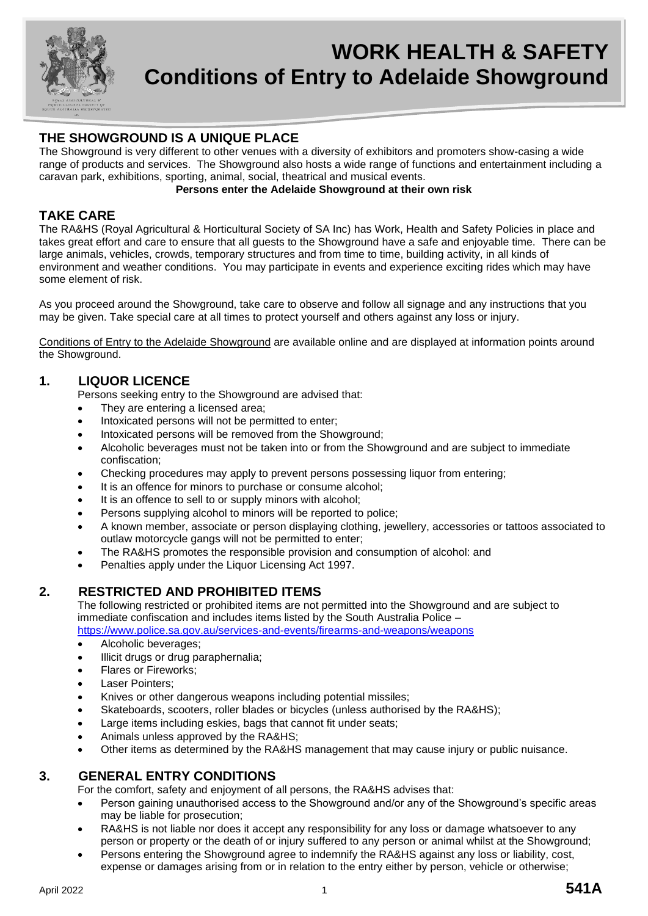

# **WORK HEALTH & SAFETY Conditions of Entry to Adelaide Showground**

# **THE SHOWGROUND IS A UNIQUE PLACE**

The Showground is very different to other venues with a diversity of exhibitors and promoters show-casing a wide range of products and services. The Showground also hosts a wide range of functions and entertainment including a caravan park, exhibitions, sporting, animal, social, theatrical and musical events.

#### **Persons enter the Adelaide Showground at their own risk**

## **TAKE CARE**

The RA&HS (Royal Agricultural & Horticultural Society of SA Inc) has Work, Health and Safety Policies in place and takes great effort and care to ensure that all guests to the Showground have a safe and enjoyable time. There can be large animals, vehicles, crowds, temporary structures and from time to time, building activity, in all kinds of environment and weather conditions. You may participate in events and experience exciting rides which may have some element of risk.

As you proceed around the Showground, take care to observe and follow all signage and any instructions that you may be given. Take special care at all times to protect yourself and others against any loss or injury.

Conditions of Entry to the Adelaide Showground are available online and are displayed at information points around the Showground.

## **1. LIQUOR LICENCE**

Persons seeking entry to the Showground are advised that:

- They are entering a licensed area;
- Intoxicated persons will not be permitted to enter;
- Intoxicated persons will be removed from the Showground;
- Alcoholic beverages must not be taken into or from the Showground and are subject to immediate confiscation;
- Checking procedures may apply to prevent persons possessing liquor from entering;
- It is an offence for minors to purchase or consume alcohol;
- It is an offence to sell to or supply minors with alcohol;
- Persons supplying alcohol to minors will be reported to police;
- A known member, associate or person displaying clothing, jewellery, accessories or tattoos associated to outlaw motorcycle gangs will not be permitted to enter;
- The RA&HS promotes the responsible provision and consumption of alcohol: and
- Penalties apply under the Liquor Licensing Act 1997.

## **2. RESTRICTED AND PROHIBITED ITEMS**

The following restricted or prohibited items are not permitted into the Showground and are subject to immediate confiscation and includes items listed by the South Australia Police –

<https://www.police.sa.gov.au/services-and-events/firearms-and-weapons/weapons>

- Alcoholic beverages;
- Illicit drugs or drug paraphernalia;
- Flares or Fireworks;
- Laser Pointers:
- Knives or other dangerous weapons including potential missiles;
- Skateboards, scooters, roller blades or bicycles (unless authorised by the RA&HS);
- Large items including eskies, bags that cannot fit under seats;
- Animals unless approved by the RA&HS;
- Other items as determined by the RA&HS management that may cause injury or public nuisance.

## **3. GENERAL ENTRY CONDITIONS**

For the comfort, safety and enjoyment of all persons, the RA&HS advises that:

- Person gaining unauthorised access to the Showground and/or any of the Showground's specific areas may be liable for prosecution;
- RA&HS is not liable nor does it accept any responsibility for any loss or damage whatsoever to any person or property or the death of or injury suffered to any person or animal whilst at the Showground;
- Persons entering the Showground agree to indemnify the RA&HS against any loss or liability, cost, expense or damages arising from or in relation to the entry either by person, vehicle or otherwise;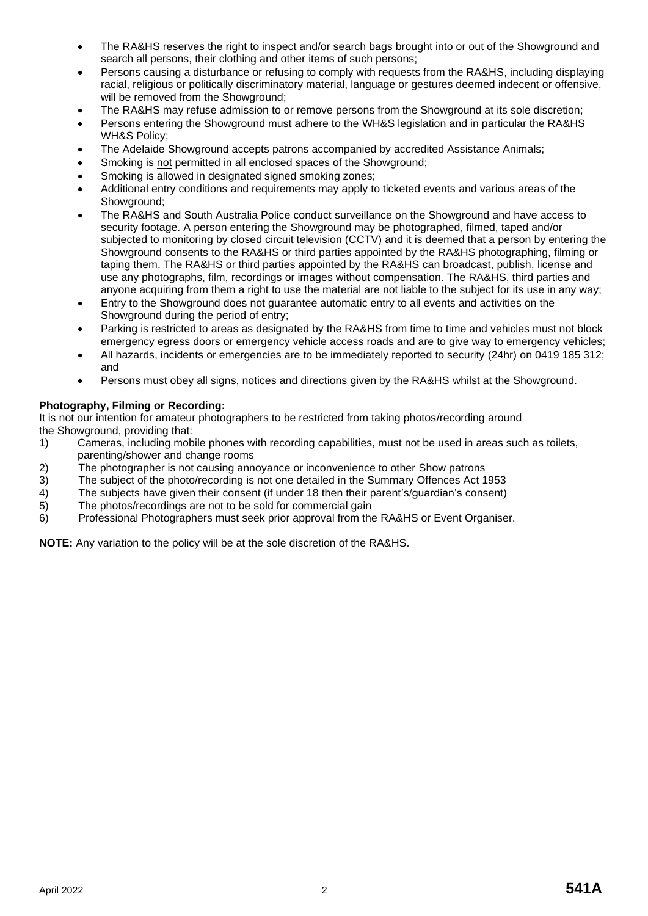- The RA&HS reserves the right to inspect and/or search bags brought into or out of the Showground and search all persons, their clothing and other items of such persons;
- Persons causing a disturbance or refusing to comply with requests from the RA&HS, including displaying racial, religious or politically discriminatory material, language or gestures deemed indecent or offensive, will be removed from the Showground;
- The RA&HS may refuse admission to or remove persons from the Showground at its sole discretion;
- Persons entering the Showground must adhere to the WH&S legislation and in particular the RA&HS WH&S Policy;
- The Adelaide Showground accepts patrons accompanied by accredited Assistance Animals;
- Smoking is not permitted in all enclosed spaces of the Showground:
- Smoking is allowed in designated signed smoking zones;
- Additional entry conditions and requirements may apply to ticketed events and various areas of the Showground:
- The RA&HS and South Australia Police conduct surveillance on the Showground and have access to security footage. A person entering the Showground may be photographed, filmed, taped and/or subjected to monitoring by closed circuit television (CCTV) and it is deemed that a person by entering the Showground consents to the RA&HS or third parties appointed by the RA&HS photographing, filming or taping them. The RA&HS or third parties appointed by the RA&HS can broadcast, publish, license and use any photographs, film, recordings or images without compensation. The RA&HS, third parties and anyone acquiring from them a right to use the material are not liable to the subject for its use in any way;
- Entry to the Showground does not guarantee automatic entry to all events and activities on the Showground during the period of entry;
- Parking is restricted to areas as designated by the RA&HS from time to time and vehicles must not block emergency egress doors or emergency vehicle access roads and are to give way to emergency vehicles;
- All hazards, incidents or emergencies are to be immediately reported to security (24hr) on 0419 185 312; and
- Persons must obey all signs, notices and directions given by the RA&HS whilst at the Showground.

#### **Photography, Filming or Recording:**

It is not our intention for amateur photographers to be restricted from taking photos/recording around the Showground, providing that:

- 1) Cameras, including mobile phones with recording capabilities, must not be used in areas such as toilets, parenting/shower and change rooms
- 2) The photographer is not causing annoyance or inconvenience to other Show patrons
- 
- 3) The subject of the photo/recording is not one detailed in the Summary Offences Act 1953<br>4) The subjects have given their consent (if under 18 then their parent's/guardian's consent) 4) The subjects have given their consent (if under 18 then their parent's/guardian's consent)<br>5) The photos/recordings are not to be sold for commercial gain
- The photos/recordings are not to be sold for commercial gain
- 6) Professional Photographers must seek prior approval from the RA&HS or Event Organiser.

**NOTE:** Any variation to the policy will be at the sole discretion of the RA&HS.